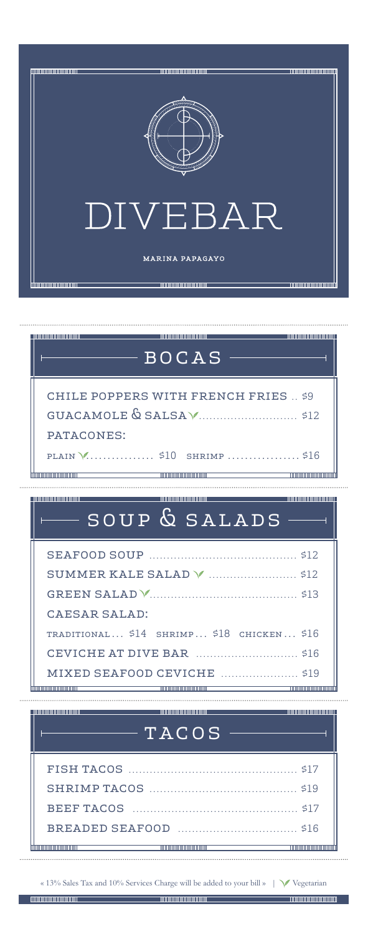

| ,,,,,,,,,,,,,,,,,,,,,,,,,,,,,, | $-$ <code>BOCAS</code>                                                                                                 |  |
|--------------------------------|------------------------------------------------------------------------------------------------------------------------|--|
|                                | CHILE POPPERS WITH FRENCH FRIES  \$9                                                                                   |  |
|                                |                                                                                                                        |  |
| PATACONES:                     |                                                                                                                        |  |
|                                |                                                                                                                        |  |
| ,,,,,,,,,,,,,,,,,,,,,,,,,,,,,  | __________________________________                                                                                     |  |
|                                | SOUP & SALADS                                                                                                          |  |
|                                |                                                                                                                        |  |
|                                |                                                                                                                        |  |
| CAESAR SALAD:                  |                                                                                                                        |  |
|                                | TRADITIONAL \$14 SHRIMP \$18 CHICKEN \$16                                                                              |  |
|                                |                                                                                                                        |  |
|                                | MIXED SEAFOOD CEVICHE 519                                                                                              |  |
|                                | <u> 1989 - Ann an Dùbhlachd ann an Dùbhad ann an Dùbhad ann an Dùbhad ann an Dùbhad ann an Dùbhad ann an Dùbhad an</u> |  |

# TACOS

« 13% Sales Tax and 10% Services Charge will be added to your bill »  $\quad$  <code>Vegetarian</code>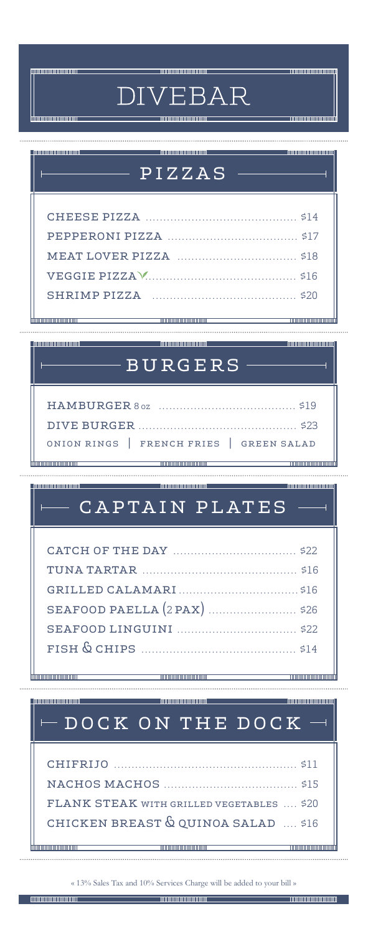#### **DIMINUTES DE LA CONSTANTI**

 $\ddot{\phantom{a}}$ 

**THE REPORT OF PROPERTY** 

**COMMUNISTIC** 

# DIVEBAR

| iimmuummuummu                                                     | <u> Timonin minimum minim</u>                                                    | <u> Timon minimum mini</u>                   |
|-------------------------------------------------------------------|----------------------------------------------------------------------------------|----------------------------------------------|
|                                                                   |                                                                                  |                                              |
|                                                                   |                                                                                  | <b>TELEVISION IN AN ARTICULAR PRODUCTION</b> |
|                                                                   | $-\overline{\tt PIZZAS}$ .                                                       |                                              |
|                                                                   |                                                                                  |                                              |
|                                                                   |                                                                                  |                                              |
|                                                                   |                                                                                  |                                              |
|                                                                   |                                                                                  |                                              |
|                                                                   |                                                                                  |                                              |
|                                                                   |                                                                                  |                                              |
| ,,,,,,,,,,,,,,,,,,,,,,,,                                          |                                                                                  |                                              |
|                                                                   | <u> 1999 - Andrea Andrew Maria (b. 1958)</u>                                     |                                              |
|                                                                   | $-\overline{BURGERS}$ -                                                          |                                              |
|                                                                   |                                                                                  |                                              |
|                                                                   |                                                                                  |                                              |
|                                                                   |                                                                                  |                                              |
|                                                                   | ONION RINGS   FRENCH FRIES   GREEN SALAD                                         |                                              |
|                                                                   |                                                                                  |                                              |
|                                                                   |                                                                                  |                                              |
|                                                                   |                                                                                  |                                              |
|                                                                   | $\mathtt{CAPTAIN\ PLATES}$ -                                                     |                                              |
|                                                                   |                                                                                  |                                              |
|                                                                   |                                                                                  |                                              |
|                                                                   |                                                                                  |                                              |
|                                                                   |                                                                                  |                                              |
|                                                                   |                                                                                  |                                              |
|                                                                   |                                                                                  |                                              |
|                                                                   |                                                                                  |                                              |
| ,,,,,,,,,,,,,,,,,,,,,,,,                                          |                                                                                  |                                              |
|                                                                   |                                                                                  |                                              |
| _____________________________<br><b>THE END OF THE CONTRACTOR</b> | DOCK ON THE DOCK                                                                 |                                              |
|                                                                   |                                                                                  |                                              |
|                                                                   |                                                                                  |                                              |
|                                                                   |                                                                                  |                                              |
|                                                                   | FLANK STEAK WITH GRILLED VEGETABLES  \$20<br>CHICKEN BREAST & QUINOA SALAD  \$16 |                                              |

« 13% Sales Tax and 10% Services Charge will be added to your bill »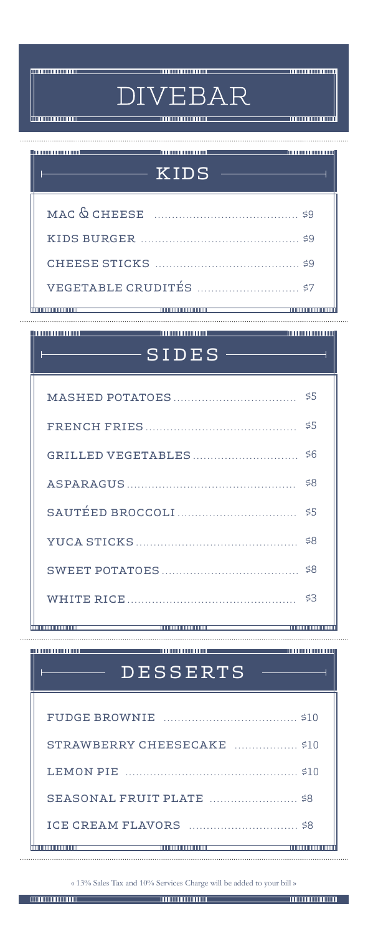**huunnoonaannoona** 

**THE CONTENTION** 

# **DIVEBAR**

<u> - munimininininin</u>

#### <u> 1999 - Andrea American American III (</u>  $-$  KIDS  $\cdot$  $\overline{a}$ mac & cheese ......................................... \$9 kids burger ............................................. \$9 cheese sticks ......................................... \$9 vegetable crudités ............................. \$7<del>liminin mananana</del>

a a component a component of the component of the component of the component of the component of the component

# $-$  SIDES  $\overline{1}$ mashed potatoes ................................... \$5 french fries ........................................... \$5 grilled vegetables .............................. \$6 asparagus ................................................ \$8 sautéed broccoli.................................. \$5 yuca sticks .............................................. \$8 sweet potatoes ....................................... \$8 white rice ................................................ \$3 himmonomummu

# **DESSERTS**

and the contract of the contract of the contract of the contract of the contract of the contract of the contract of

| STRAWBERRY CHEESECAKE  \$10 |  |
|-----------------------------|--|
|                             |  |
|                             |  |
|                             |  |
|                             |  |

« 13% Sales Tax and 10% Services Charge will be added to your bill »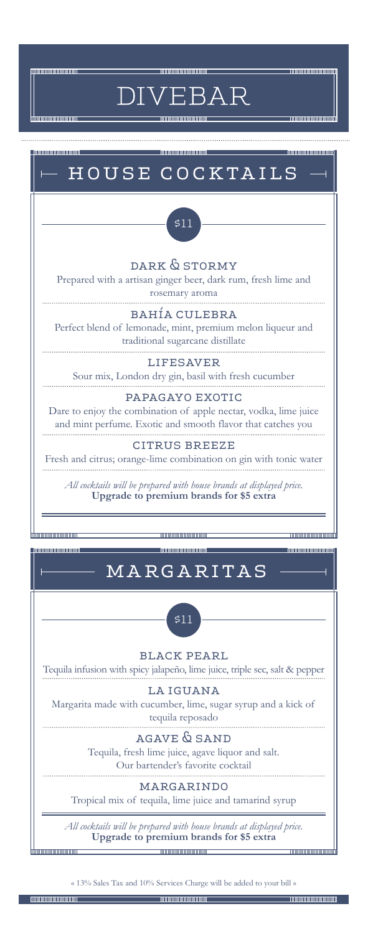

muunnumuunnu

EBAR **DIV** 



« 13% Sales Tax and 10% Services Charge will be added to your bill »

**Communication** 

**THE REAL PROPERTY AND IN**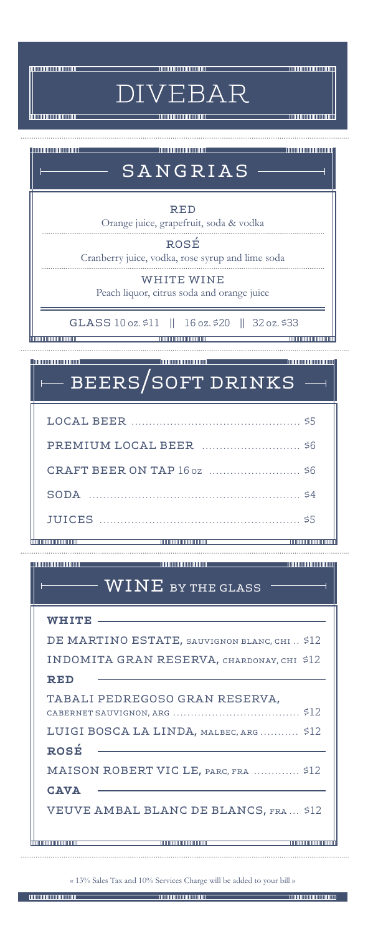**TITULITUUTEETIIN** 

DIVEBAR

<u>munummunundi</u>

**THE CONTENT OF CONTENT** 

| SANGRIAS                                                                        |
|---------------------------------------------------------------------------------|
| RED<br>Orange juice, grapefruit, soda & vodka                                   |
| ROSÉ<br>Cranberry juice, vodka, rose syrup and lime soda                        |
| WHITE WINE<br>Peach liquor, citrus soda and orange juice                        |
| GLASS 10 oz. \$11    16 oz. \$20    32 oz. \$33<br>,,,,,,,,,,,,,,,,,,,,,,,,,,,, |

#### **Thomas Anno 1999 - Anno 1999 - Anno 1999** beers/soft drinks

| the control of the control of the control of the control of the control of the control of | ,,,,,,,,,,,,,,,,,,,,,,,,,,,,, |  |
|-------------------------------------------------------------------------------------------|-------------------------------|--|

# $\overline{\text{WINE}}$  by the glass

| WHITE                                        |
|----------------------------------------------|
| DE MARTINO ESTATE, SAUVIGNON BLANC, CHI \$12 |
| INDOMITA GRAN RESERVA, CHARDONAY, CHI \$12   |
| <b>RED</b>                                   |
| TABALI PEDREGOSO GRAN RESERVA,               |
| LUIGI BOSCA LA LINDA, MALBEC, ARG \$12       |
| ROSÉ                                         |
| MAISON ROBERT VIC LE, PARC, FRA  \$12        |
| <b>CAVA</b>                                  |
| <b>VEUVE AMBAL BLANC DE BLANCS, FRA \$12</b> |
|                                              |
| ,,,,,,,,,,,,,,,,,,,,,,,,,,,,,                |

« 13% Sales Tax and 10% Services Charge will be added to your bill »

ᡰᡰᡴ

ihm

**Thurummmmmm**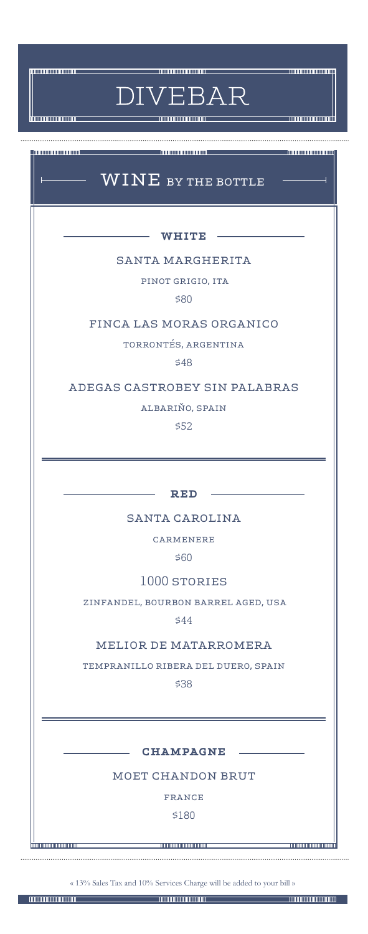**THE REAL PROPERTY OF STATE** 

**TO OBSERVE AND THE UPPER** 

<u> - Andronomonium - Andron</u>

 $\overline{4}$ 

<u> 1999 - Jan Albert Albert III (f. 1918)</u>

**DIVEBAR** 

<u> 1999 - Jan Andrea Start, Amerikaansk politiker (</u>

# $\overline{\text{WINE}}$  by the bottle

 $-$  WHITE  $-$ 

### santa margherita

pinot grigio, ita

\$80

#### finca las moras organico

torrontés, argentina

\$48

### adegas castrobey sin palabras

albariño, spain

\$52

 $-$  RED  $-$ 

#### santa carolina

carmenere

\$60

#### 1000 stories

zinfandel, bourbon barrel aged, usa

\$44

#### melior de matarromera

tempranillo ribera del duero, spain

\$38

 $-$  CHAMPAGNE  $-$ 

moet chandon brut

france

\$180

« 13% Sales Tax and 10% Services Charge will be added to your bill »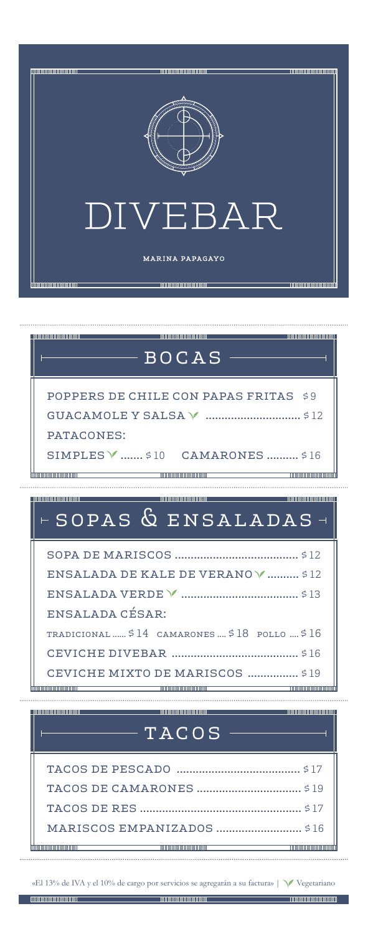

| <b>THE REAL PROPERTY AND REAL PROPERTY</b><br><b>THE REPORT OF PERSONS AND RELEASED</b><br>$-$ <code>BOCAS</code> |
|-------------------------------------------------------------------------------------------------------------------|
|                                                                                                                   |
| POPPERS DE CHILE CON PAPAS FRITAS \$9                                                                             |
|                                                                                                                   |
| PATACONES:                                                                                                        |
| SIMPLES V  \$10 CAMARONES  \$16                                                                                   |
| ,,,,,,,,,,,,,,,,,,,,,,,,,,,,,                                                                                     |
| <u> 1989 - Andrea Brandenburg, Amerikaansk politiker (</u>                                                        |
| ESOPAS & ENSALADAS-                                                                                               |
|                                                                                                                   |
| ENSALADA DE KALE DE VERANO V  \$12                                                                                |
|                                                                                                                   |
| ENSALADA CÉSAR:                                                                                                   |
| TRADICIONAL $\ldots$ \$14 CAMARONES $\ldots$ \$18 pollo $\ldots$ \$16                                             |
|                                                                                                                   |
|                                                                                                                   |
| CEVICHE MIXTO DE MARISCOS  \$19                                                                                   |
| ,,,,,,,,,,,,,,,,,,,,,,,,,,,,,,<br>________________________<br>__________________________                          |

«El 13% de IVA y el 10% de cargo por servicios se agregarán a su factura» | Vegetariano

tim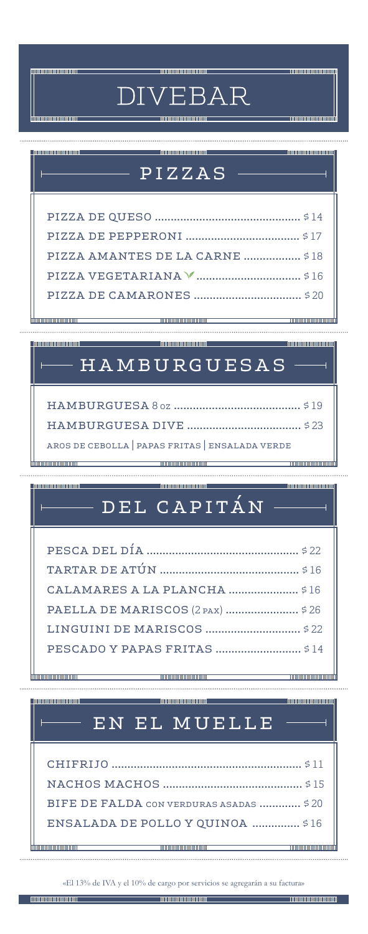# **DIVEBAR**

**TOURISTIC ORDER** 

# pizzas

|                                 | ,,,,,,,,,,,,,,,,,,,,,,,,, |
|---------------------------------|---------------------------|
|                                 |                           |
|                                 |                           |
|                                 |                           |
| PIZZA AMANTES DE LA CARNE  \$18 |                           |
|                                 |                           |
|                                 |                           |
|                                 |                           |

# $H$   $A$   $M$   $B$   $U$   $R$   $G$   $U$   $E$   $S$   $A$   $S$

|  | AROS DE CEBOLLA   PAPAS FRITAS   ENSALADA VERDE |  |
|--|-------------------------------------------------|--|

# del capitán

| PAELLA DE MARISCOS (2 PAX)  \$26 |  |
|----------------------------------|--|
|                                  |  |
|                                  |  |
|                                  |  |

**TIMO DI MONDOLOGIA** 

<u>mmmmmmmmm</u>

# en el muelle

| BIFE DE FALDA CON VERDURAS ASADAS  \$20          |  |
|--------------------------------------------------|--|
| ENSALADA DE POLLO Y OUINOA  \$16                 |  |
| the control of the control of the control of the |  |

«El 13% de IVA y el 10% de cargo por servicios se agregarán a su factura»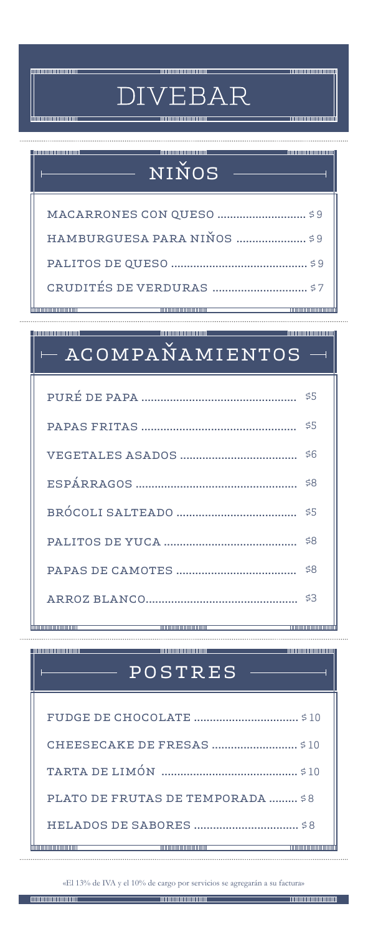## **DIVEBAR** <u>mmummummum</u> <u>mmmmmmmm</u> niños macarrones con queso ............................ \$ 9 hamburguesa para niños ...................... \$ 9

palitos de queso ........................................... \$ 9 crudités de verduras .............................. \$ 7

**THE REAL PROPERTY AND I THE REAL PROPERTY OF PERSON** 

#### - 00000000000000000

**TELEVISION IN THE REAL PROPERTY.** 

# acompañamientos

# **All and all and all and all and all and all and all and all and all and all and all and all and all and all a** postres

| PLATO DE FRUTAS DE TEMPORADA  \$8 |
|-----------------------------------|
| S R                               |
|                                   |

«El 13% de IVA y el 10% de cargo por servicios se agregarán a su factura»

lihm

,,,,,,,,,,,,,,,,,,,,,,,,,

**THE CONTINUES OF A STATE OF A STATE**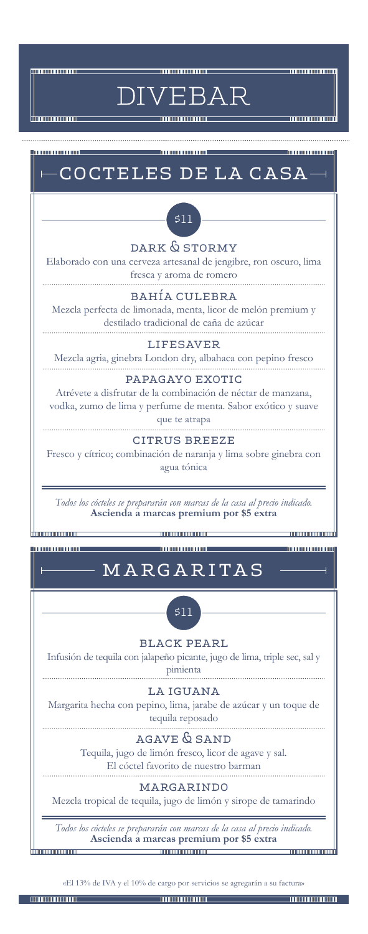

**TANAHANA MARKATAN** 

EBAR **DIV** 



Mezcla tropical de tequila, jugo de limón y sirope de tamarindo

*Todos los cócteles se prepararán con marcas de la casa al precio indicado.* **Ascienda a marcas premium por \$5 extra**

«El 13% de IVA y el 10% de cargo por servicios se agregarán a su factura»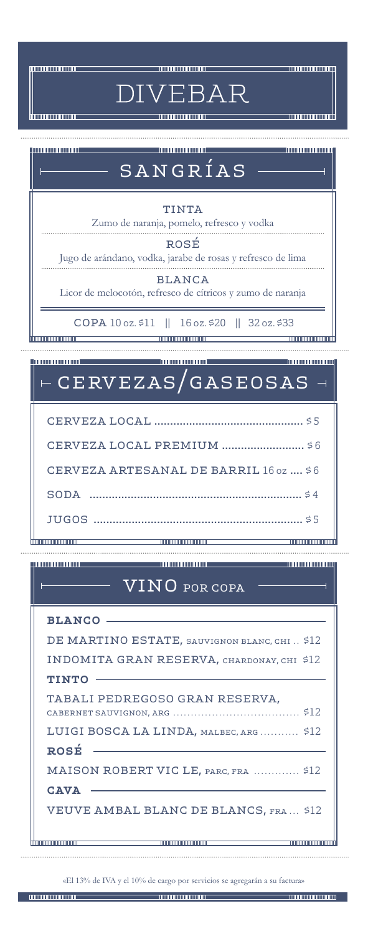**DIVEBAR** 

<u>-monomonomon</u>h

# $\blacksquare$  . The continuum continuum  $\blacksquare$ **THE CONTINUES OF A STATE OF A STATE OF A STATE OF A STATE OF A STATE OF A STATE OF A STATE OF A ST** sangrías **TINTA** Zumo de naranja, pomelo, refresco y vodka rosé Jugo de arándano, vodka, jarabe de rosas y refresco de lima blanca Licor de melocotón, refresco de cítricos y zumo de naranja copa 10 oz. \$11 || 16 oz. \$20 || 32 oz. \$33 <u> Mananananananan sebagai sebagai sebagai sebagai sebagai sebagai sebagai sebagai sebagai sebagai sebagai sebagai</u> **Thurummmmmmm** cervezas/gaseosas cerveza local ............................................... \$ 5 cerveza local premium .......................... \$ 6 cerveza artesanal de barril 16 oz .... \$ 6 soda ................................................................... \$ 4

<u> - monomenantin</u>

**THE CONTINUES OF THE CONTINUES** 

# vino por copa

**THE CONTINUES OF A SECOND CONTINUES.** 

jugos .................................................................. \$ 5

| BLANCO -                                     |
|----------------------------------------------|
| DE MARTINO ESTATE, SAUVIGNON BLANC, CHI \$12 |
| INDOMITA GRAN RESERVA, CHARDONAY, CHI \$12   |
| <b>TINTO</b>                                 |
| TABALI PEDREGOSO GRAN RESERVA.               |
| LUIGI BOSCA LA LINDA, MALBEC, ARG \$12       |
| <b>ROSÉ</b>                                  |
| MAISON ROBERT VIC LE, PARC, FRA  \$12        |
| <b>CAVA</b>                                  |
| <b>VEUVE AMBAL BLANC DE BLANCS, FRA \$12</b> |
|                                              |
|                                              |

«El 13% de IVA y el 10% de cargo por servicios se agregarán a su factura»

**The Communistration**